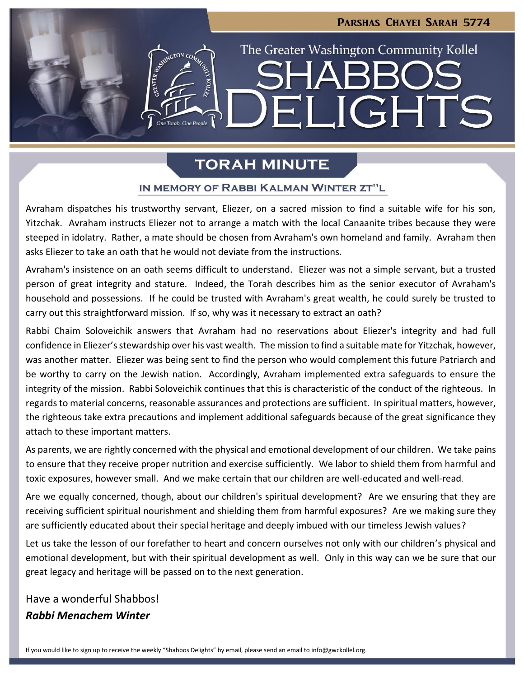**LIGHTS** 

The Greater Washington Community Kollel

# **TORAH MINUTE**

⊣∐

### IN MEMORY OF RABBI KALMAN WINTER ZT"L

Avraham dispatches his trustworthy servant, Eliezer, on a sacred mission to find a suitable wife for his son, Yitzchak. Avraham instructs Eliezer not to arrange a match with the local Canaanite tribes because they were steeped in idolatry. Rather, a mate should be chosen from Avraham's own homeland and family. Avraham then asks Eliezer to take an oath that he would not deviate from the instructions.

Avraham's insistence on an oath seems difficult to understand. Eliezer was not a simple servant, but a trusted person of great integrity and stature. Indeed, the Torah describes him as the senior executor of Avraham's household and possessions. If he could be trusted with Avraham's great wealth, he could surely be trusted to carry out this straightforward mission. If so, why was it necessary to extract an oath?

Rabbi Chaim Soloveichik answers that Avraham had no reservations about Eliezer's integrity and had full confidence in Eliezer's stewardship over his vast wealth. The mission to find a suitable mate for Yitzchak, however, was another matter. Eliezer was being sent to find the person who would complement this future Patriarch and be worthy to carry on the Jewish nation. Accordingly, Avraham implemented extra safeguards to ensure the integrity of the mission. Rabbi Soloveichik continues that this is characteristic of the conduct of the righteous. In regards to material concerns, reasonable assurances and protections are sufficient. In spiritual matters, however, the righteous take extra precautions and implement additional safeguards because of the great significance they attach to these important matters.

As parents, we are rightly concerned with the physical and emotional development of our children. We take pains to ensure that they receive proper nutrition and exercise sufficiently. We labor to shield them from harmful and toxic exposures, however small. And we make certain that our children are well-educated and well-read.

Are we equally concerned, though, about our children's spiritual development? Are we ensuring that they are receiving sufficient spiritual nourishment and shielding them from harmful exposures? Are we making sure they are sufficiently educated about their special heritage and deeply imbued with our timeless Jewish values?

Let us take the lesson of our forefather to heart and concern ourselves not only with our children's physical and emotional development, but with their spiritual development as well. Only in this way can we be sure that our great legacy and heritage will be passed on to the next generation.

# Have a wonderful Shabbos! *Rabbi Menachem Winter*